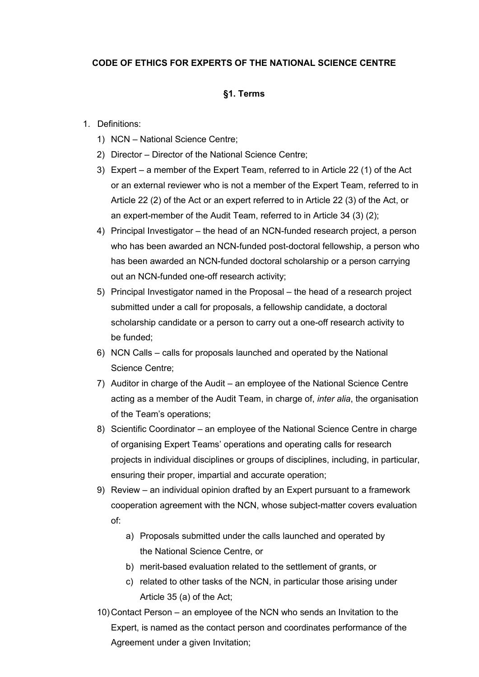## **CODE OF ETHICS FOR EXPERTS OF THE NATIONAL SCIENCE CENTRE**

### **§1. Terms**

#### 1. Definitions:

- 1) NCN National Science Centre;
- 2) Director Director of the National Science Centre;
- 3) Expert a member of the Expert Team, referred to in Article 22 (1) of the Act or an external reviewer who is not a member of the Expert Team, referred to in Article 22 (2) of the Act or an expert referred to in Article 22 (3) of the Act, or an expert-member of the Audit Team, referred to in Article 34 (3) (2);
- 4) Principal Investigator the head of an NCN-funded research project, a person who has been awarded an NCN-funded post-doctoral fellowship, a person who has been awarded an NCN-funded doctoral scholarship or a person carrying out an NCN-funded one-off research activity;
- 5) Principal Investigator named in the Proposal the head of a research project submitted under a call for proposals, a fellowship candidate, a doctoral scholarship candidate or a person to carry out a one-off research activity to be funded;
- 6) NCN Calls calls for proposals launched and operated by the National Science Centre;
- 7) Auditor in charge of the Audit an employee of the National Science Centre acting as a member of the Audit Team, in charge of, *inter alia*, the organisation of the Team's operations;
- 8) Scientific Coordinator an employee of the National Science Centre in charge of organising Expert Teams' operations and operating calls for research projects in individual disciplines or groups of disciplines, including, in particular, ensuring their proper, impartial and accurate operation;
- 9) Review an individual opinion drafted by an Expert pursuant to a framework cooperation agreement with the NCN, whose subject-matter covers evaluation of:
	- a) Proposals submitted under the calls launched and operated by the National Science Centre, or
	- b) merit-based evaluation related to the settlement of grants, or
	- c) related to other tasks of the NCN, in particular those arising under Article 35 (a) of the Act;
- 10) Contact Person an employee of the NCN who sends an Invitation to the Expert, is named as the contact person and coordinates performance of the Agreement under a given Invitation;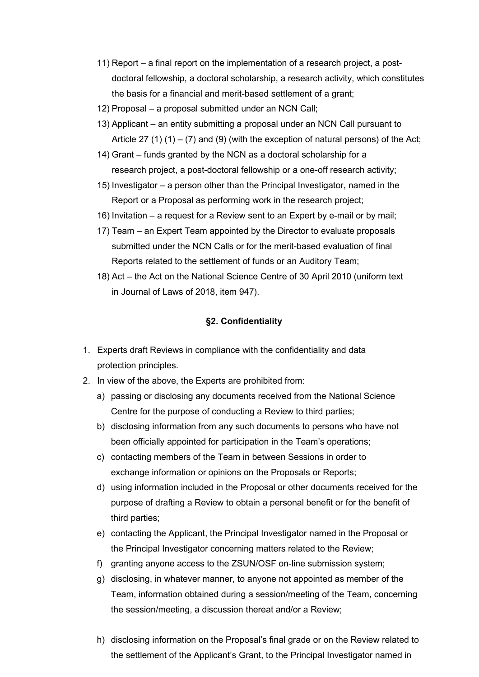- 11) Report a final report on the implementation of a research project, a postdoctoral fellowship, a doctoral scholarship, a research activity, which constitutes the basis for a financial and merit-based settlement of a grant;
- 12) Proposal a proposal submitted under an NCN Call;
- 13) Applicant an entity submitting a proposal under an NCN Call pursuant to Article 27 (1)  $(1) - (7)$  and (9) (with the exception of natural persons) of the Act;
- 14) Grant funds granted by the NCN as a doctoral scholarship for a research project, a post-doctoral fellowship or a one-off research activity;
- 15) Investigator a person other than the Principal Investigator, named in the Report or a Proposal as performing work in the research project;
- 16) Invitation a request for a Review sent to an Expert by e-mail or by mail;
- 17) Team an Expert Team appointed by the Director to evaluate proposals submitted under the NCN Calls or for the merit-based evaluation of final Reports related to the settlement of funds or an Auditory Team;
- 18) Act the Act on the National Science Centre of 30 April 2010 (uniform text in Journal of Laws of 2018, item 947).

## **§2. Confidentiality**

- 1. Experts draft Reviews in compliance with the confidentiality and data protection principles.
- 2. In view of the above, the Experts are prohibited from:
	- a) passing or disclosing any documents received from the National Science Centre for the purpose of conducting a Review to third parties;
	- b) disclosing information from any such documents to persons who have not been officially appointed for participation in the Team's operations;
	- c) contacting members of the Team in between Sessions in order to exchange information or opinions on the Proposals or Reports;
	- d) using information included in the Proposal or other documents received for the purpose of drafting a Review to obtain a personal benefit or for the benefit of third parties;
	- e) contacting the Applicant, the Principal Investigator named in the Proposal or the Principal Investigator concerning matters related to the Review;
	- f) granting anyone access to the ZSUN/OSF on-line submission system;
	- g) disclosing, in whatever manner, to anyone not appointed as member of the Team, information obtained during a session/meeting of the Team, concerning the session/meeting, a discussion thereat and/or a Review;
	- h) disclosing information on the Proposal's final grade or on the Review related to the settlement of the Applicant's Grant, to the Principal Investigator named in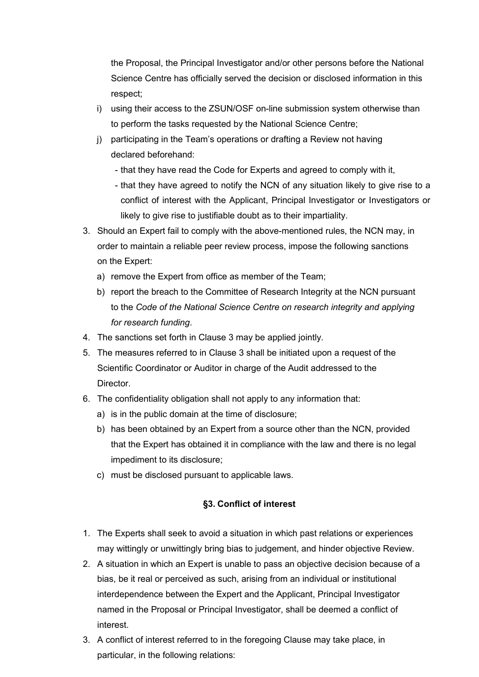the Proposal, the Principal Investigator and/or other persons before the National Science Centre has officially served the decision or disclosed information in this respect;

- i) using their access to the ZSUN/OSF on-line submission system otherwise than to perform the tasks requested by the National Science Centre;
- j) participating in the Team's operations or drafting a Review not having declared beforehand:
	- that they have read the Code for Experts and agreed to comply with it,
	- that they have agreed to notify the NCN of any situation likely to give rise to a conflict of interest with the Applicant, Principal Investigator or Investigators or likely to give rise to justifiable doubt as to their impartiality.
- 3. Should an Expert fail to comply with the above-mentioned rules, the NCN may, in order to maintain a reliable peer review process, impose the following sanctions on the Expert:
	- a) remove the Expert from office as member of the Team;
	- b) report the breach to the Committee of Research Integrity at the NCN pursuant to the *Code of the National Science Centre on research integrity and applying for research funding*.
- 4. The sanctions set forth in Clause 3 may be applied jointly.
- 5. The measures referred to in Clause 3 shall be initiated upon a request of the Scientific Coordinator or Auditor in charge of the Audit addressed to the Director.
- 6. The confidentiality obligation shall not apply to any information that:
	- a) is in the public domain at the time of disclosure;
	- b) has been obtained by an Expert from a source other than the NCN, provided that the Expert has obtained it in compliance with the law and there is no legal impediment to its disclosure;
	- c) must be disclosed pursuant to applicable laws.

# **§3. Conflict of interest**

- 1. The Experts shall seek to avoid a situation in which past relations or experiences may wittingly or unwittingly bring bias to judgement, and hinder objective Review.
- 2. A situation in which an Expert is unable to pass an objective decision because of a bias, be it real or perceived as such, arising from an individual or institutional interdependence between the Expert and the Applicant, Principal Investigator named in the Proposal or Principal Investigator, shall be deemed a conflict of interest.
- 3. A conflict of interest referred to in the foregoing Clause may take place, in particular, in the following relations: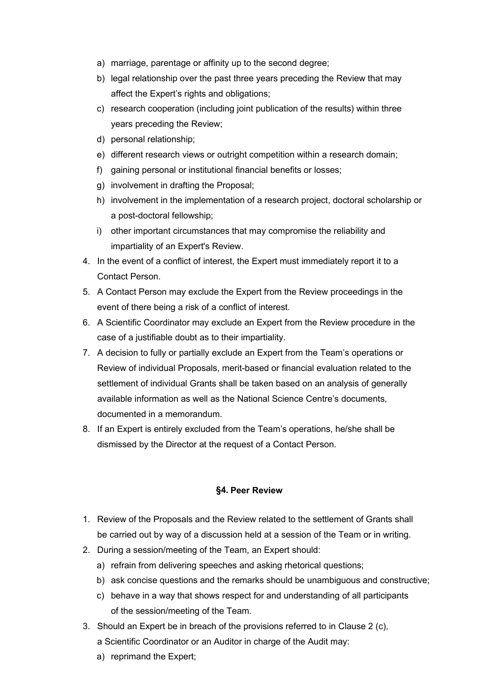- a) marriage, parentage or affinity up to the second degree;
- b) legal relationship over the past three years preceding the Review that may affect the Expert's rights and obligations;
- c) research cooperation (including joint publication of the results) within three years preceding the Review;
- d) personal relationship;
- e) different research views or outright competition within a research domain;
- f) gaining personal or institutional financial benefits or losses;
- g) involvement in drafting the Proposal;
- h) involvement in the implementation of a research project, doctoral scholarship or a post-doctoral fellowship;
- i) other important circumstances that may compromise the reliability and impartiality of an Expert's Review.
- 4. In the event of a conflict of interest, the Expert must immediately report it to a Contact Person.
- 5. A Contact Person may exclude the Expert from the Review proceedings in the event of there being a risk of a conflict of interest.
- 6. A Scientific Coordinator may exclude an Expert from the Review procedure in the case of a justifiable doubt as to their impartiality.
- 7. A decision to fully or partially exclude an Expert from the Team's operations or Review of individual Proposals, merit-based or financial evaluation related to the settlement of individual Grants shall be taken based on an analysis of generally available information as well as the National Science Centre's documents, documented in a memorandum.
- 8. If an Expert is entirely excluded from the Team's operations, he/she shall be dismissed by the Director at the request of a Contact Person.

#### **§4. Peer Review**

- 1. Review of the Proposals and the Review related to the settlement of Grants shall be carried out by way of a discussion held at a session of the Team or in writing.
- 2. During a session/meeting of the Team, an Expert should:
	- a) refrain from delivering speeches and asking rhetorical questions;
	- b) ask concise questions and the remarks should be unambiguous and constructive;
	- c) behave in a way that shows respect for and understanding of all participants of the session/meeting of the Team.
- 3. Should an Expert be in breach of the provisions referred to in Clause 2 (c), a Scientific Coordinator or an Auditor in charge of the Audit may:
	- a) reprimand the Expert;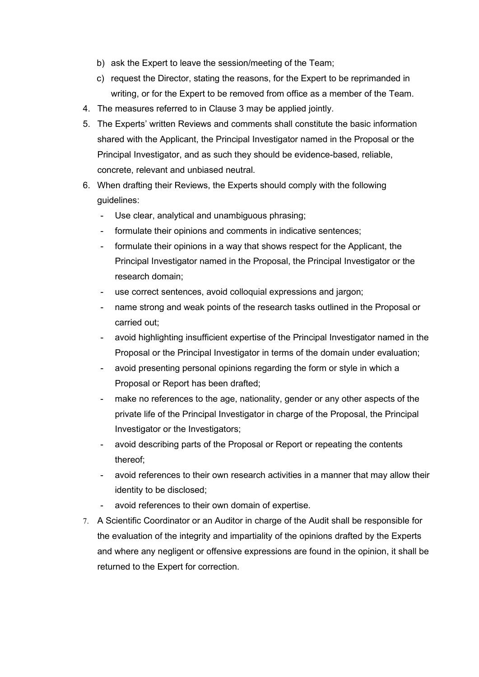- b) ask the Expert to leave the session/meeting of the Team;
- c) request the Director, stating the reasons, for the Expert to be reprimanded in writing, or for the Expert to be removed from office as a member of the Team.
- 4. The measures referred to in Clause 3 may be applied jointly.
- 5. The Experts' written Reviews and comments shall constitute the basic information shared with the Applicant, the Principal Investigator named in the Proposal or the Principal Investigator, and as such they should be evidence-based, reliable, concrete, relevant and unbiased neutral.
- 6. When drafting their Reviews, the Experts should comply with the following guidelines:
	- Use clear, analytical and unambiguous phrasing;
	- formulate their opinions and comments in indicative sentences;
	- formulate their opinions in a way that shows respect for the Applicant, the Principal Investigator named in the Proposal, the Principal Investigator or the research domain;
	- use correct sentences, avoid colloquial expressions and jargon;
	- hame strong and weak points of the research tasks outlined in the Proposal or carried out;
	- avoid highlighting insufficient expertise of the Principal Investigator named in the Proposal or the Principal Investigator in terms of the domain under evaluation;
	- avoid presenting personal opinions regarding the form or style in which a Proposal or Report has been drafted;
	- make no references to the age, nationality, gender or any other aspects of the private life of the Principal Investigator in charge of the Proposal, the Principal Investigator or the Investigators;
	- avoid describing parts of the Proposal or Report or repeating the contents thereof;
	- avoid references to their own research activities in a manner that may allow their identity to be disclosed;
	- avoid references to their own domain of expertise.
- 7. A Scientific Coordinator or an Auditor in charge of the Audit shall be responsible for the evaluation of the integrity and impartiality of the opinions drafted by the Experts and where any negligent or offensive expressions are found in the opinion, it shall be returned to the Expert for correction.